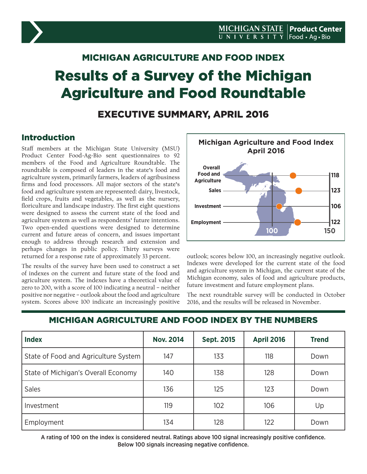# MICHIGAN AGRICULTURE AND FOOD INDEX Results of a Survey of the Michigan Agriculture and Food Roundtable

## EXECUTIVE SUMMARY, APRIL 2016

## Introduction

Staff members at the Michigan State University (MSU) Product Center Food-Ag-Bio sent questionnaires to 92 members of the Food and Agriculture Roundtable. The roundtable is composed of leaders in the state's food and agriculture system, primarily farmers, leaders of agribusiness firms and food processors. All major sectors of the state's food and agriculture system are represented: dairy, livestock, field crops, fruits and vegetables, as well as the nursery, floriculture and landscape industry. The first eight questions were designed to assess the current state of the food and agriculture system as well as respondents' future intentions. Two open-ended questions were designed to determine current and future areas of concern, and issues important enough to address through research and extension and perhaps changes in public policy. Thirty surveys were returned for a response rate of approximately 33 percent.

The results of the survey have been used to construct a set of indexes on the current and future state of the food and agriculture system. The indexes have a theoretical value of zero to 200, with a score of 100 indicating a neutral – neither positive nor negative – outlook about the food and agriculture system. Scores above 100 indicate an increasingly positive



outlook; scores below 100, an increasingly negative outlook. Indexes were developed for the current state of the food and agriculture system in Michigan, the current state of the Michigan economy, sales of food and agriculture products, future investment and future employment plans.

The next roundtable survey will be conducted in October 2016, and the results will be released in November.

## MICHIGAN AGRICULTURE AND FOOD INDEX BY THE NUMBERS

| <b>Index</b>                         | <b>Nov. 2014</b> | <b>Sept. 2015</b> | <b>April 2016</b> | <b>Trend</b> |
|--------------------------------------|------------------|-------------------|-------------------|--------------|
| State of Food and Agriculture System | 147              | 133               | 118               | Down         |
| State of Michigan's Overall Economy  | 140              | 138               | 128               | Down         |
| <b>Sales</b>                         | 136              | 125               | 123               | Down         |
| Investment                           | 119              | 102               | 106               | Up           |
| Employment                           | 134              | 128               | 122               | Down         |

A rating of 100 on the index is considered neutral. Ratings above 100 signal increasingly positive confidence. Below 100 signals increasing negative confidence.